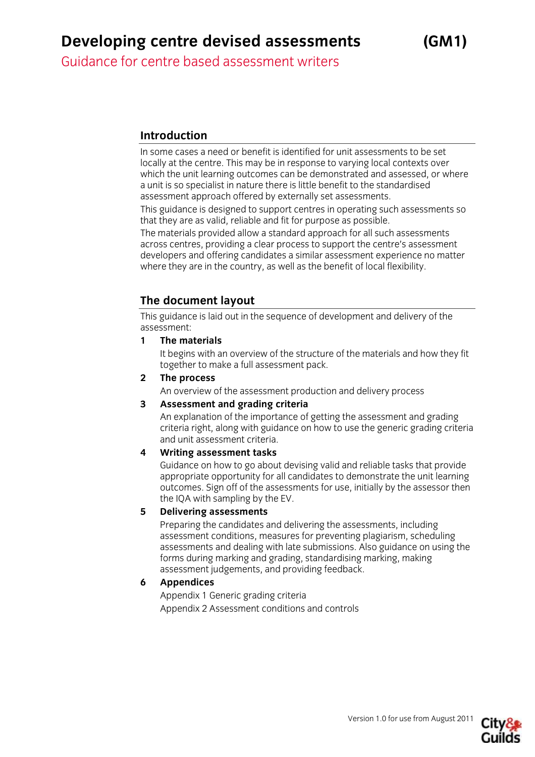Guidance for centre based assessment writers

## **Introduction**

In some cases a need or benefit is identified for unit assessments to be set locally at the centre. This may be in response to varying local contexts over which the unit learning outcomes can be demonstrated and assessed, or where a unit is so specialist in nature there is little benefit to the standardised assessment approach offered by externally set assessments.

This guidance is designed to support centres in operating such assessments so that they are as valid, reliable and fit for purpose as possible.

The materials provided allow a standard approach for all such assessments across centres, providing a clear process to support the centre's assessment developers and offering candidates a similar assessment experience no matter where they are in the country, as well as the benefit of local flexibility.

## **The document layout**

This guidance is laid out in the sequence of development and delivery of the assessment:

**1 The materials** 

 It begins with an overview of the structure of the materials and how they fit together to make a full assessment pack.

**2 The process** 

An overview of the assessment production and delivery process

#### **3 Assessment and grading criteria**

 An explanation of the importance of getting the assessment and grading criteria right, along with guidance on how to use the generic grading criteria and unit assessment criteria.

#### **4 Writing assessment tasks**

 Guidance on how to go about devising valid and reliable tasks that provide appropriate opportunity for all candidates to demonstrate the unit learning outcomes. Sign off of the assessments for use, initially by the assessor then the IQA with sampling by the EV.

#### **5 Delivering assessments**

 Preparing the candidates and delivering the assessments, including assessment conditions, measures for preventing plagiarism, scheduling assessments and dealing with late submissions. Also guidance on using the forms during marking and grading, standardising marking, making assessment judgements, and providing feedback.

#### **6 Appendices**

 Appendix 1 Generic grading criteria Appendix 2 Assessment conditions and controls

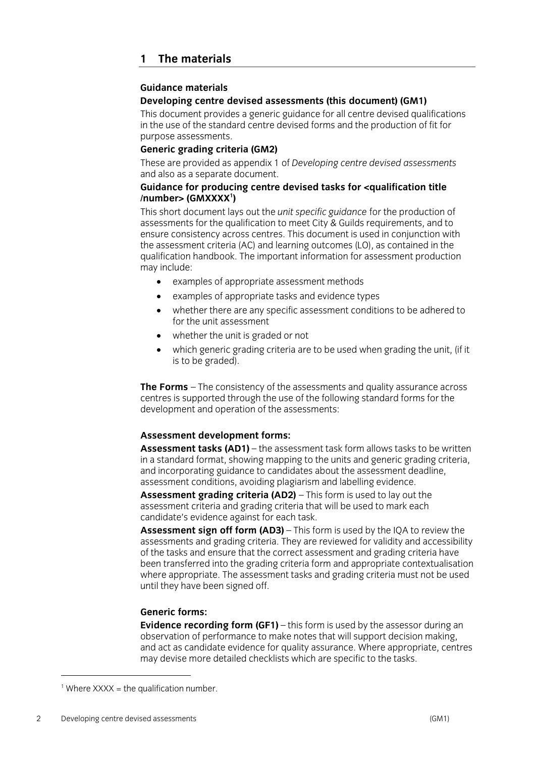#### **Guidance materials**

#### **Developing centre devised assessments (this document) (GM1)**

This document provides a generic guidance for all centre devised qualifications in the use of the standard centre devised forms and the production of fit for purpose assessments.

#### **Generic grading criteria (GM2)**

These are provided as appendix 1 of *Developing centre devised assessments* and also as a separate document.

#### **Guidance for producing centre devised tasks for <qualification title /number> (GMXXXX<sup>1</sup> )**

This short document lays out the *unit specific guidance* for the production of assessments for the qualification to meet City & Guilds requirements, and to ensure consistency across centres. This document is used in conjunction with the assessment criteria (AC) and learning outcomes (LO), as contained in the qualification handbook. The important information for assessment production may include:

- examples of appropriate assessment methods
- examples of appropriate tasks and evidence types
- whether there are any specific assessment conditions to be adhered to for the unit assessment
- whether the unit is graded or not
- which generic grading criteria are to be used when grading the unit, (if it is to be graded).

**The Forms** – The consistency of the assessments and quality assurance across centres is supported through the use of the following standard forms for the development and operation of the assessments:

#### **Assessment development forms:**

**Assessment tasks (AD1)** – the assessment task form allows tasks to be written in a standard format, showing mapping to the units and generic grading criteria, and incorporating guidance to candidates about the assessment deadline, assessment conditions, avoiding plagiarism and labelling evidence.

**Assessment grading criteria (AD2)** – This form is used to lay out the assessment criteria and grading criteria that will be used to mark each candidate's evidence against for each task.

**Assessment sign off form (AD3)** – This form is used by the IQA to review the assessments and grading criteria. They are reviewed for validity and accessibility of the tasks and ensure that the correct assessment and grading criteria have been transferred into the grading criteria form and appropriate contextualisation where appropriate. The assessment tasks and grading criteria must not be used until they have been signed off.

#### **Generic forms:**

**Evidence recording form (GF1)** – this form is used by the assessor during an observation of performance to make notes that will support decision making, and act as candidate evidence for quality assurance. Where appropriate, centres may devise more detailed checklists which are specific to the tasks.

 $\overline{a}$ 

 $1$  Where XXXX = the qualification number.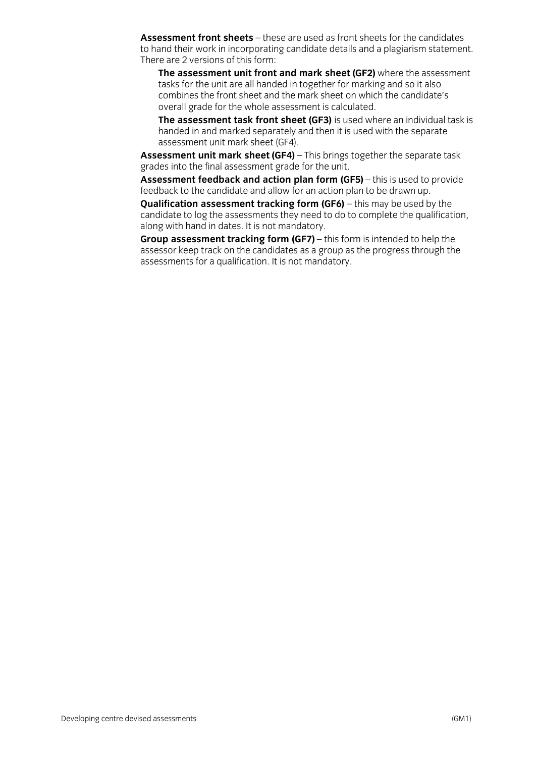**Assessment front sheets** – these are used as front sheets for the candidates to hand their work in incorporating candidate details and a plagiarism statement. There are 2 versions of this form:

**The assessment unit front and mark sheet (GF2)** where the assessment tasks for the unit are all handed in together for marking and so it also combines the front sheet and the mark sheet on which the candidate's overall grade for the whole assessment is calculated.

**The assessment task front sheet (GF3)** is used where an individual task is handed in and marked separately and then it is used with the separate assessment unit mark sheet (GF4).

**Assessment unit mark sheet (GF4)** – This brings together the separate task grades into the final assessment grade for the unit.

**Assessment feedback and action plan form (GF5)** – this is used to provide feedback to the candidate and allow for an action plan to be drawn up.

**Qualification assessment tracking form (GF6)** – this may be used by the candidate to log the assessments they need to do to complete the qualification, along with hand in dates. It is not mandatory.

**Group assessment tracking form (GF7)** – this form is intended to help the assessor keep track on the candidates as a group as the progress through the assessments for a qualification. It is not mandatory.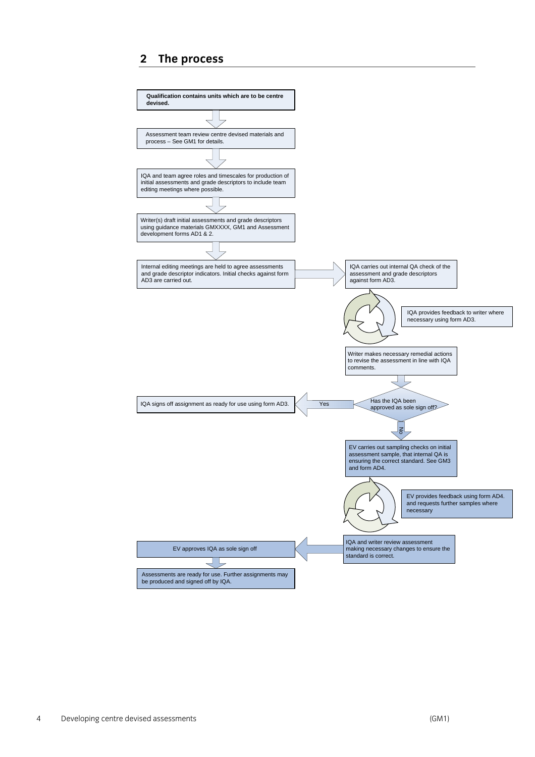## **2 The process**

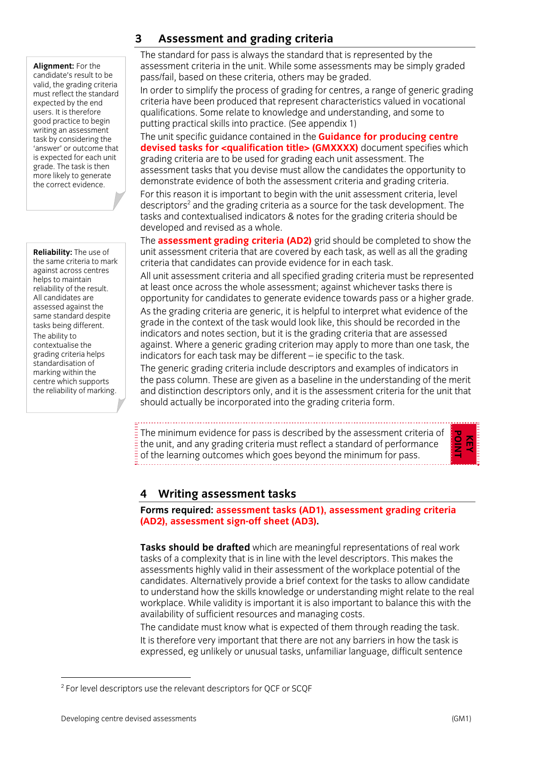**Alignment:** For the candidate's result to be valid, the grading criteria must reflect the standard expected by the end users. It is therefore good practice to begin writing an assessment task by considering the 'answer' or outcome that is expected for each unit grade. The task is then more likely to generate the correct evidence.

**Reliability:** The use of the same criteria to mark against across centres helps to maintain reliability of the result. All candidates are assessed against the same standard despite tasks being different. The ability to contextualise the grading criteria helps standardisation of marking within the centre which supports the reliability of marking.

## **3 Assessment and grading criteria**

The standard for pass is always the standard that is represented by the assessment criteria in the unit. While some assessments may be simply graded pass/fail, based on these criteria, others may be graded.

In order to simplify the process of grading for centres, a range of generic grading criteria have been produced that represent characteristics valued in vocational qualifications. Some relate to knowledge and understanding, and some to putting practical skills into practice. (See appendix 1)

The unit specific guidance contained in the **Guidance for producing centre devised tasks for <qualification title> (GMXXXX)** document specifies which grading criteria are to be used for grading each unit assessment. The assessment tasks that you devise must allow the candidates the opportunity to demonstrate evidence of both the assessment criteria and grading criteria. For this reason it is important to begin with the unit assessment criteria, level descriptors $^{\text{2}}$  and the grading criteria as a source for the task development. The tasks and contextualised indicators & notes for the grading criteria should be developed and revised as a whole.

The **assessment grading criteria (AD2)** grid should be completed to show the unit assessment criteria that are covered by each task, as well as all the grading criteria that candidates can provide evidence for in each task.

All unit assessment criteria and all specified grading criteria must be represented at least once across the whole assessment; against whichever tasks there is opportunity for candidates to generate evidence towards pass or a higher grade.

As the grading criteria are generic, it is helpful to interpret what evidence of the grade in the context of the task would look like, this should be recorded in the indicators and notes section, but it is the grading criteria that are assessed against. Where a generic grading criterion may apply to more than one task, the indicators for each task may be different – ie specific to the task.

The generic grading criteria include descriptors and examples of indicators in the pass column. These are given as a baseline in the understanding of the merit and distinction descriptors only, and it is the assessment criteria for the unit that should actually be incorporated into the grading criteria form.

The minimum evidence for pass is described by the assessment criteria of the unit, and any grading criteria must reflect a standard of performance of the learning outcomes which goes beyond the minimum for pass.

## **4 Writing assessment tasks**

**Forms required: assessment tasks (AD1), assessment grading criteria (AD2), assessment sign-off sheet (AD3).** 

**Tasks should be drafted** which are meaningful representations of real work tasks of a complexity that is in line with the level descriptors. This makes the assessments highly valid in their assessment of the workplace potential of the candidates. Alternatively provide a brief context for the tasks to allow candidate to understand how the skills knowledge or understanding might relate to the real workplace. While validity is important it is also important to balance this with the availability of sufficient resources and managing costs.

The candidate must know what is expected of them through reading the task. It is therefore very important that there are not any barriers in how the task is expressed, eg unlikely or unusual tasks, unfamiliar language, difficult sentence

 $\overline{\phantom{a}}$ 

**KEY POINT** 

<sup>&</sup>lt;sup>2</sup> For level descriptors use the relevant descriptors for QCF or SCQF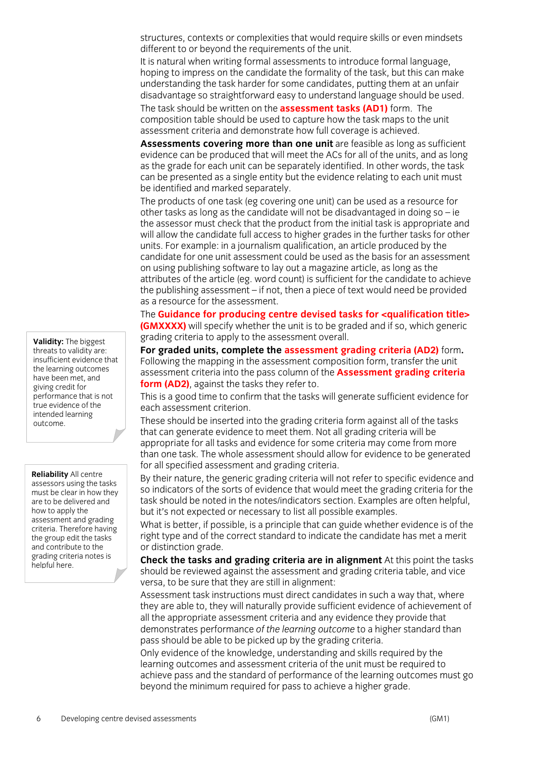structures, contexts or complexities that would require skills or even mindsets different to or beyond the requirements of the unit.

It is natural when writing formal assessments to introduce formal language, hoping to impress on the candidate the formality of the task, but this can make understanding the task harder for some candidates, putting them at an unfair disadvantage so straightforward easy to understand language should be used.

The task should be written on the **assessment tasks (AD1)** form. The composition table should be used to capture how the task maps to the unit assessment criteria and demonstrate how full coverage is achieved.

**Assessments covering more than one unit** are feasible as long as sufficient evidence can be produced that will meet the ACs for all of the units, and as long as the grade for each unit can be separately identified. In other words, the task can be presented as a single entity but the evidence relating to each unit must be identified and marked separately.

The products of one task (eg covering one unit) can be used as a resource for other tasks as long as the candidate will not be disadvantaged in doing so  $-$  ie the assessor must check that the product from the initial task is appropriate and will allow the candidate full access to higher grades in the further tasks for other units. For example: in a journalism qualification, an article produced by the candidate for one unit assessment could be used as the basis for an assessment on using publishing software to lay out a magazine article, as long as the attributes of the article (eg. word count) is sufficient for the candidate to achieve the publishing assessment – if not, then a piece of text would need be provided as a resource for the assessment.

The **Guidance for producing centre devised tasks for <qualification title> (GMXXXX)** will specify whether the unit is to be graded and if so, which generic grading criteria to apply to the assessment overall.

**For graded units, complete the assessment grading criteria (AD2)** form**.**  Following the mapping in the assessment composition form, transfer the unit assessment criteria into the pass column of the **Assessment grading criteria form (AD2)**, against the tasks they refer to.

This is a good time to confirm that the tasks will generate sufficient evidence for each assessment criterion.

These should be inserted into the grading criteria form against all of the tasks that can generate evidence to meet them. Not all grading criteria will be appropriate for all tasks and evidence for some criteria may come from more than one task. The whole assessment should allow for evidence to be generated for all specified assessment and grading criteria.

By their nature, the generic grading criteria will not refer to specific evidence and so indicators of the sorts of evidence that would meet the grading criteria for the task should be noted in the notes/indicators section. Examples are often helpful, but it's not expected or necessary to list all possible examples.

What is better, if possible, is a principle that can guide whether evidence is of the right type and of the correct standard to indicate the candidate has met a merit or distinction grade.

**Check the tasks and grading criteria are in alignment** At this point the tasks should be reviewed against the assessment and grading criteria table, and vice versa, to be sure that they are still in alignment:

Assessment task instructions must direct candidates in such a way that, where they are able to, they will naturally provide sufficient evidence of achievement of all the appropriate assessment criteria and any evidence they provide that demonstrates performance *of the learning outcome* to a higher standard than pass should be able to be picked up by the grading criteria.

Only evidence of the knowledge, understanding and skills required by the learning outcomes and assessment criteria of the unit must be required to achieve pass and the standard of performance of the learning outcomes must go beyond the minimum required for pass to achieve a higher grade.

**Validity:** The biggest threats to validity are: insufficient evidence that the learning outcomes have been met, and giving credit for performance that is not true evidence of the intended learning outcome.

**Reliability** All centre assessors using the tasks must be clear in how they are to be delivered and how to apply the assessment and grading criteria. Therefore having the group edit the tasks and contribute to the grading criteria notes is helpful here.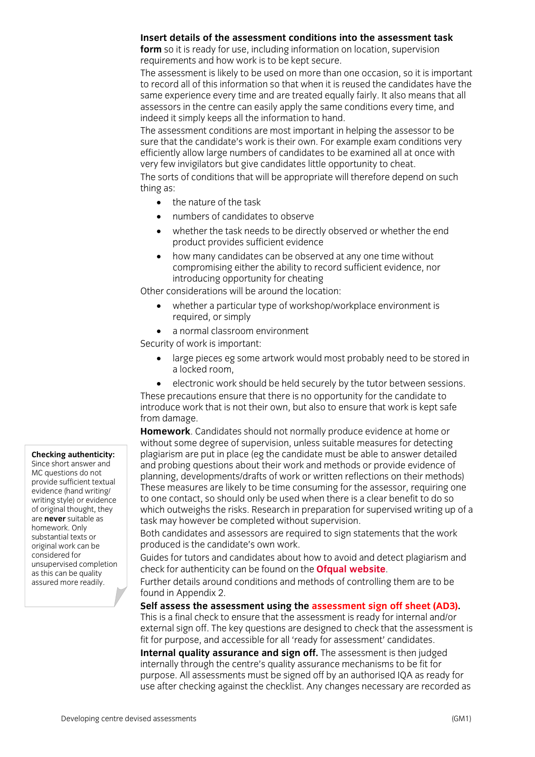#### **Insert details of the assessment conditions into the assessment task**

**form** so it is ready for use, including information on location, supervision requirements and how work is to be kept secure.

The assessment is likely to be used on more than one occasion, so it is important to record all of this information so that when it is reused the candidates have the same experience every time and are treated equally fairly. It also means that all assessors in the centre can easily apply the same conditions every time, and indeed it simply keeps all the information to hand.

The assessment conditions are most important in helping the assessor to be sure that the candidate's work is their own. For example exam conditions very efficiently allow large numbers of candidates to be examined all at once with very few invigilators but give candidates little opportunity to cheat.

The sorts of conditions that will be appropriate will therefore depend on such thing as:

- the nature of the task
- numbers of candidates to observe
- whether the task needs to be directly observed or whether the end product provides sufficient evidence
- how many candidates can be observed at any one time without compromising either the ability to record sufficient evidence, nor introducing opportunity for cheating

Other considerations will be around the location:

- whether a particular type of workshop/workplace environment is required, or simply
- a normal classroom environment

Security of work is important:

- large pieces eg some artwork would most probably need to be stored in a locked room,
- electronic work should be held securely by the tutor between sessions.

These precautions ensure that there is no opportunity for the candidate to introduce work that is not their own, but also to ensure that work is kept safe from damage.

**Homework**. Candidates should not normally produce evidence at home or without some degree of supervision, unless suitable measures for detecting plagiarism are put in place (eg the candidate must be able to answer detailed and probing questions about their work and methods or provide evidence of planning, developments/drafts of work or written reflections on their methods) These measures are likely to be time consuming for the assessor, requiring one to one contact, so should only be used when there is a clear benefit to do so which outweighs the risks. Research in preparation for supervised writing up of a task may however be completed without supervision.

Both candidates and assessors are required to sign statements that the work produced is the candidate's own work.

Guides for tutors and candidates about how to avoid and detect plagiarism and check for authenticity can be found on the **Ofqual website**.

Further details around conditions and methods of controlling them are to be found in Appendix 2.

**Self assess the assessment using the assessment sign off sheet (AD3).** 

This is a final check to ensure that the assessment is ready for internal and/or external sign off. The key questions are designed to check that the assessment is fit for purpose, and accessible for all 'ready for assessment' candidates.

**Internal quality assurance and sign off.** The assessment is then judged internally through the centre's quality assurance mechanisms to be fit for purpose. All assessments must be signed off by an authorised IQA as ready for use after checking against the checklist. Any changes necessary are recorded as

#### **Checking authenticity:**

Since short answer and MC questions do not provide sufficient textual evidence (hand writing/ writing style) or evidence of original thought, they are **never** suitable as homework. Only substantial texts or original work can be considered for unsupervised completion as this can be quality assured more readily.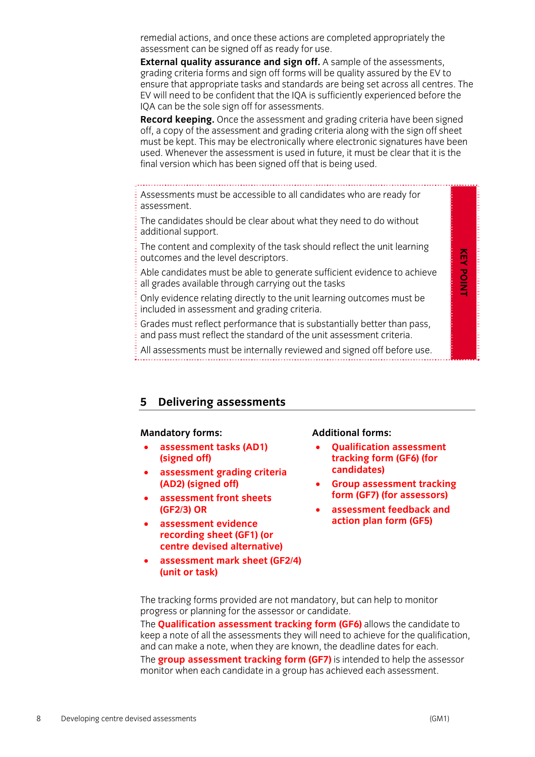remedial actions, and once these actions are completed appropriately the assessment can be signed off as ready for use.

**External quality assurance and sign off.** A sample of the assessments, grading criteria forms and sign off forms will be quality assured by the EV to ensure that appropriate tasks and standards are being set across all centres. The EV will need to be confident that the IQA is sufficiently experienced before the IQA can be the sole sign off for assessments.

**Record keeping.** Once the assessment and grading criteria have been signed off, a copy of the assessment and grading criteria along with the sign off sheet must be kept. This may be electronically where electronic signatures have been used. Whenever the assessment is used in future, it must be clear that it is the final version which has been signed off that is being used.

Assessments must be accessible to all candidates who are ready for assessment.

The candidates should be clear about what they need to do without additional support.

The content and complexity of the task should reflect the unit learning outcomes and the level descriptors.

Able candidates must be able to generate sufficient evidence to achieve all grades available through carrying out the tasks

Only evidence relating directly to the unit learning outcomes must be included in assessment and grading criteria.

Grades must reflect performance that is substantially better than pass, and pass must reflect the standard of the unit assessment criteria.

All assessments must be internally reviewed and signed off before use.

#### **5 Delivering assessments**

#### **Mandatory forms:**

- **assessment tasks (AD1) (signed off)**
- **assessment grading criteria (AD2) (signed off)**
- **assessment front sheets (GF2/3) OR**
- **assessment evidence recording sheet (GF1) (or centre devised alternative)**
- **assessment mark sheet (GF2/4) (unit or task)**

#### **Additional forms:**

- **Qualification assessment tracking form (GF6) (for candidates)**
- **Group assessment tracking form (GF7) (for assessors)**
- **assessment feedback and action plan form (GF5)**

The tracking forms provided are not mandatory, but can help to monitor progress or planning for the assessor or candidate.

The **Qualification assessment tracking form (GF6)** allows the candidate to keep a note of all the assessments they will need to achieve for the qualification, and can make a note, when they are known, the deadline dates for each. The **group assessment tracking form (GF7)** is intended to help the assessor monitor when each candidate in a group has achieved each assessment.

**KEY POINT** 

**KEY POINT**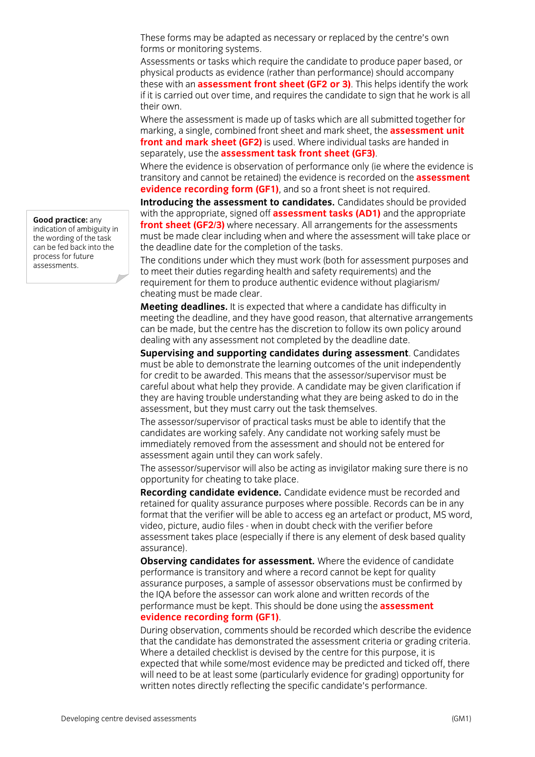These forms may be adapted as necessary or replaced by the centre's own forms or monitoring systems.

Assessments or tasks which require the candidate to produce paper based, or physical products as evidence (rather than performance) should accompany these with an **assessment front sheet (GF2 or 3)**. This helps identify the work if it is carried out over time, and requires the candidate to sign that he work is all their own.

Where the assessment is made up of tasks which are all submitted together for marking, a single, combined front sheet and mark sheet, the **assessment unit front and mark sheet (GF2)** is used. Where individual tasks are handed in separately, use the **assessment task front sheet (GF3)**.

Where the evidence is observation of performance only (ie where the evidence is transitory and cannot be retained) the evidence is recorded on the **assessment evidence recording form (GF1)**, and so a front sheet is not required.

**Introducing the assessment to candidates.** Candidates should be provided with the appropriate, signed off **assessment tasks (AD1)** and the appropriate **front sheet (GF2/3)** where necessary. All arrangements for the assessments must be made clear including when and where the assessment will take place or the deadline date for the completion of the tasks.

The conditions under which they must work (both for assessment purposes and to meet their duties regarding health and safety requirements) and the requirement for them to produce authentic evidence without plagiarism/ cheating must be made clear.

**Meeting deadlines.** It is expected that where a candidate has difficulty in meeting the deadline, and they have good reason, that alternative arrangements can be made, but the centre has the discretion to follow its own policy around dealing with any assessment not completed by the deadline date.

**Supervising and supporting candidates during assessment**. Candidates must be able to demonstrate the learning outcomes of the unit independently for credit to be awarded. This means that the assessor/supervisor must be careful about what help they provide. A candidate may be given clarification if they are having trouble understanding what they are being asked to do in the assessment, but they must carry out the task themselves.

The assessor/supervisor of practical tasks must be able to identify that the candidates are working safely. Any candidate not working safely must be immediately removed from the assessment and should not be entered for assessment again until they can work safely.

The assessor/supervisor will also be acting as invigilator making sure there is no opportunity for cheating to take place.

**Recording candidate evidence.** Candidate evidence must be recorded and retained for quality assurance purposes where possible. Records can be in any format that the verifier will be able to access eg an artefact or product, MS word, video, picture, audio files - when in doubt check with the verifier before assessment takes place (especially if there is any element of desk based quality assurance).

**Observing candidates for assessment.** Where the evidence of candidate performance is transitory and where a record cannot be kept for quality assurance purposes, a sample of assessor observations must be confirmed by the IQA before the assessor can work alone and written records of the performance must be kept. This should be done using the **assessment evidence recording form (GF1)**.

During observation, comments should be recorded which describe the evidence that the candidate has demonstrated the assessment criteria or grading criteria. Where a detailed checklist is devised by the centre for this purpose, it is expected that while some/most evidence may be predicted and ticked off, there will need to be at least some (particularly evidence for grading) opportunity for written notes directly reflecting the specific candidate's performance.

**Good practice:** any indication of ambiguity in the wording of the task can be fed back into the process for future assessments.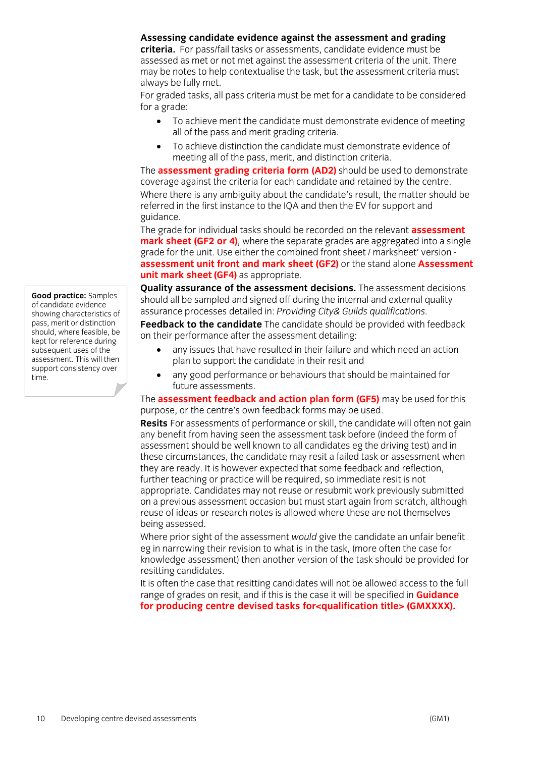#### **Assessing candidate evidence against the assessment and grading**

**criteria.** For pass/fail tasks or assessments, candidate evidence must be assessed as met or not met against the assessment criteria of the unit. There may be notes to help contextualise the task, but the assessment criteria must always be fully met.

For graded tasks, all pass criteria must be met for a candidate to be considered for a grade:

- To achieve merit the candidate must demonstrate evidence of meeting all of the pass and merit grading criteria.
- To achieve distinction the candidate must demonstrate evidence of meeting all of the pass, merit, and distinction criteria.

The **assessment grading criteria form (AD2)** should be used to demonstrate coverage against the criteria for each candidate and retained by the centre. Where there is any ambiguity about the candidate's result, the matter should be referred in the first instance to the IQA and then the EV for support and guidance.

The grade for individual tasks should be recorded on the relevant **assessment mark sheet (GF2 or 4)**, where the separate grades are aggregated into a single grade for the unit. Use either the combined front sheet / marksheet' version **assessment unit front and mark sheet (GF2)** or the stand alone **Assessment unit mark sheet (GF4)** as appropriate.

**Quality assurance of the assessment decisions.** The assessment decisions should all be sampled and signed off during the internal and external quality assurance processes detailed in: *Providing City& Guilds qualifications.*

**Feedback to the candidate** The candidate should be provided with feedback on their performance after the assessment detailing:

- any issues that have resulted in their failure and which need an action plan to support the candidate in their resit and
- any good performance or behaviours that should be maintained for future assessments.

The **assessment feedback and action plan form (GF5)** may be used for this purpose, or the centre's own feedback forms may be used.

**Resits** For assessments of performance or skill, the candidate will often not gain any benefit from having seen the assessment task before (indeed the form of assessment should be well known to all candidates eg the driving test) and in these circumstances, the candidate may resit a failed task or assessment when they are ready. It is however expected that some feedback and reflection, further teaching or practice will be required, so immediate resit is not appropriate. Candidates may not reuse or resubmit work previously submitted on a previous assessment occasion but must start again from scratch, although reuse of ideas or research notes is allowed where these are not themselves being assessed.

Where prior sight of the assessment *would* give the candidate an unfair benefit eg in narrowing their revision to what is in the task, (more often the case for knowledge assessment) then another version of the task should be provided for resitting candidates.

It is often the case that resitting candidates will not be allowed access to the full range of grades on resit, and if this is the case it will be specified in **Guidance for producing centre devised tasks for<qualification title> (GMXXXX).**

**Good practice:** Samples of candidate evidence showing characteristics of pass, merit or distinction should, where feasible, be kept for reference during subsequent uses of the assessment. This will then support consistency over time.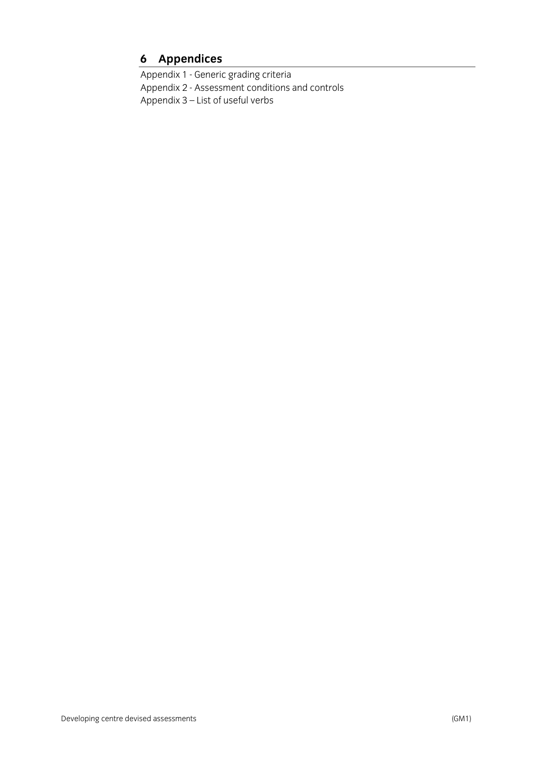## **6 Appendices**

Appendix 1 - Generic grading criteria Appendix 2 - Assessment conditions and controls Appendix 3 – List of useful verbs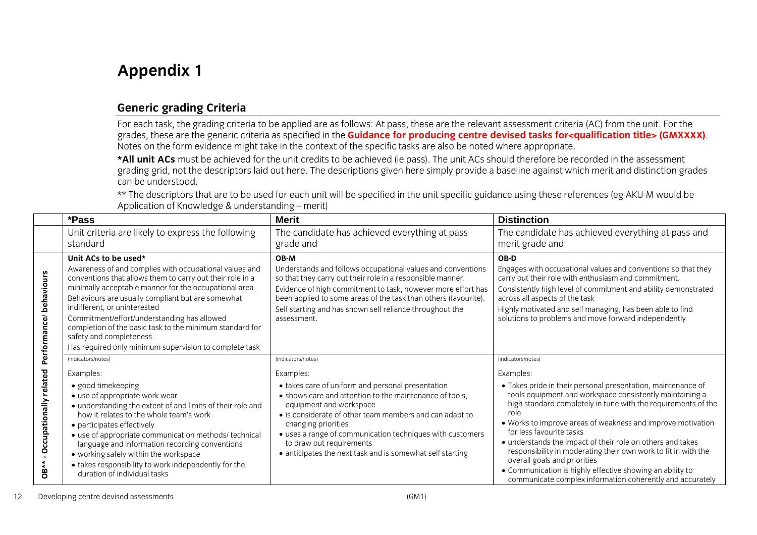## **Appendix 1**

## **Generic grading Criteria**

For each task, the grading criteria to be applied are as follows: At pass, these are the relevant assessment criteria (AC) from the unit. For the grades, these are the generic criteria as specified in the **Guidance for producing centre devised tasks for<qualification title> (GMXXXX)**. Notes on the form evidence might take in the context of the specific tasks are also be noted where appropriate.

**\*All unit ACs** must be achieved for the unit credits to be achieved (ie pass). The unit ACs should therefore be recorded in the assessment grading grid, not the descriptors laid out here. The descriptions given here simply provide a baseline against which merit and distinction grades can be understood.

\*\* The descriptors that are to be used for each unit will be specified in the unit specific guidance using these references (eg AKU-M would be Application of Knowledge & understanding – merit)

|                                     | *Pass                                                                                                                                                                                                                                                                                                                                                                                                                                                                                       | <b>Merit</b>                                                                                                                                                                                                                                                                                                                                                                    | <b>Distinction</b>                                                                                                                                                                                                                                                                                                                                                                                                                                                                                                                                                                     |
|-------------------------------------|---------------------------------------------------------------------------------------------------------------------------------------------------------------------------------------------------------------------------------------------------------------------------------------------------------------------------------------------------------------------------------------------------------------------------------------------------------------------------------------------|---------------------------------------------------------------------------------------------------------------------------------------------------------------------------------------------------------------------------------------------------------------------------------------------------------------------------------------------------------------------------------|----------------------------------------------------------------------------------------------------------------------------------------------------------------------------------------------------------------------------------------------------------------------------------------------------------------------------------------------------------------------------------------------------------------------------------------------------------------------------------------------------------------------------------------------------------------------------------------|
|                                     | Unit criteria are likely to express the following                                                                                                                                                                                                                                                                                                                                                                                                                                           | The candidate has achieved everything at pass                                                                                                                                                                                                                                                                                                                                   | The candidate has achieved everything at pass and                                                                                                                                                                                                                                                                                                                                                                                                                                                                                                                                      |
|                                     | standard                                                                                                                                                                                                                                                                                                                                                                                                                                                                                    | grade and                                                                                                                                                                                                                                                                                                                                                                       | merit grade and                                                                                                                                                                                                                                                                                                                                                                                                                                                                                                                                                                        |
| Performance/behaviours              | Unit ACs to be used*<br>Awareness of and complies with occupational values and<br>conventions that allows them to carry out their role in a<br>minimally acceptable manner for the occupational area.<br>Behaviours are usually compliant but are somewhat<br>indifferent, or uninterested<br>Commitment/effort/understanding has allowed<br>completion of the basic task to the minimum standard for<br>safety and completeness.<br>Has required only minimum supervision to complete task | OB-M<br>Understands and follows occupational values and conventions<br>so that they carry out their role in a responsible manner.<br>Evidence of high commitment to task, however more effort has<br>been applied to some areas of the task than others (favourite).<br>Self starting and has shown self reliance throughout the<br>assessment.                                 | OB-D<br>Engages with occupational values and conventions so that they<br>carry out their role with enthusiasm and commitment.<br>Consistently high level of commitment and ability demonstrated<br>across all aspects of the task<br>Highly motivated and self managing, has been able to find<br>solutions to problems and move forward independently                                                                                                                                                                                                                                 |
|                                     | (indicators/notes)                                                                                                                                                                                                                                                                                                                                                                                                                                                                          | (indicators/notes)                                                                                                                                                                                                                                                                                                                                                              | (indicators/notes)                                                                                                                                                                                                                                                                                                                                                                                                                                                                                                                                                                     |
| - Occupationally related<br>$OB***$ | Examples:                                                                                                                                                                                                                                                                                                                                                                                                                                                                                   | Examples:                                                                                                                                                                                                                                                                                                                                                                       | Examples:                                                                                                                                                                                                                                                                                                                                                                                                                                                                                                                                                                              |
|                                     | · good timekeeping<br>• use of appropriate work wear<br>• understanding the extent of and limits of their role and<br>how it relates to the whole team's work<br>• participates effectively<br>• use of appropriate communication methods/ technical<br>language and information recording conventions<br>• working safely within the workspace<br>• takes responsibility to work independently for the<br>duration of individual tasks                                                     | • takes care of uniform and personal presentation<br>• shows care and attention to the maintenance of tools,<br>equipment and workspace<br>• is considerate of other team members and can adapt to<br>changing priorities<br>• uses a range of communication techniques with customers<br>to draw out requirements<br>• anticipates the next task and is somewhat self starting | • Takes pride in their personal presentation, maintenance of<br>tools equipment and workspace consistently maintaining a<br>high standard completely in tune with the requirements of the<br>role<br>. Works to improve areas of weakness and improve motivation<br>for less favourite tasks<br>• understands the impact of their role on others and takes<br>responsibility in moderating their own work to fit in with the<br>overall goals and priorities<br>• Communication is highly effective showing an ability to<br>communicate complex information coherently and accurately |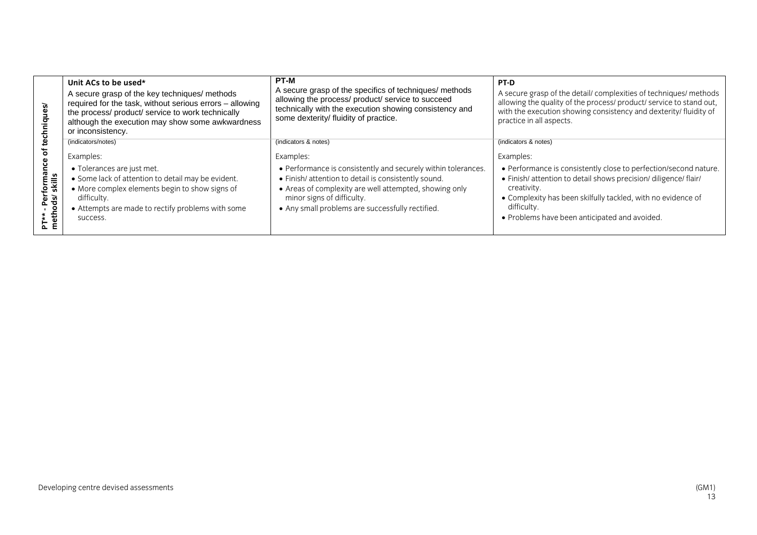| <i>iiques/</i>                                            | Unit ACs to be used*<br>A secure grasp of the key techniques/ methods<br>required for the task, without serious errors - allowing<br>the process/ product/ service to work technically<br>although the execution may show some awkwardness<br>or inconsistency. | <b>PT-M</b><br>A secure grasp of the specifics of techniques/ methods<br>allowing the process/ product/ service to succeed<br>technically with the execution showing consistency and<br>some dexterity/ fluidity of practice.                                     | <b>PT-D</b><br>A secure grasp of the detail/ complexities of techniques/ methods<br>allowing the quality of the process/ product/ service to stand out,<br>with the execution showing consistency and dexterity/ fluidity of<br>practice in all aspects.                            |
|-----------------------------------------------------------|-----------------------------------------------------------------------------------------------------------------------------------------------------------------------------------------------------------------------------------------------------------------|-------------------------------------------------------------------------------------------------------------------------------------------------------------------------------------------------------------------------------------------------------------------|-------------------------------------------------------------------------------------------------------------------------------------------------------------------------------------------------------------------------------------------------------------------------------------|
|                                                           | (indicators/notes)                                                                                                                                                                                                                                              | (indicators & notes)                                                                                                                                                                                                                                              | (indicators & notes)                                                                                                                                                                                                                                                                |
| ৳<br>ieuu<br>'≝<br>ख<br>£<br>ne<br>Perg<br>neth<br>n<br>Σ | Examples:                                                                                                                                                                                                                                                       | Examples:                                                                                                                                                                                                                                                         | Examples:                                                                                                                                                                                                                                                                           |
|                                                           | • Tolerances are just met.<br>• Some lack of attention to detail may be evident.<br>• More complex elements begin to show signs of<br>difficulty.<br>• Attempts are made to rectify problems with some<br>success.                                              | • Performance is consistently and securely within tolerances.<br>• Finish/ attention to detail is consistently sound.<br>• Areas of complexity are well attempted, showing only<br>minor signs of difficulty.<br>• Any small problems are successfully rectified. | • Performance is consistently close to perfection/second nature.<br>• Finish/ attention to detail shows precision/ diligence/ flair/<br>creativity.<br>• Complexity has been skilfully tackled, with no evidence of<br>difficulty.<br>• Problems have been anticipated and avoided. |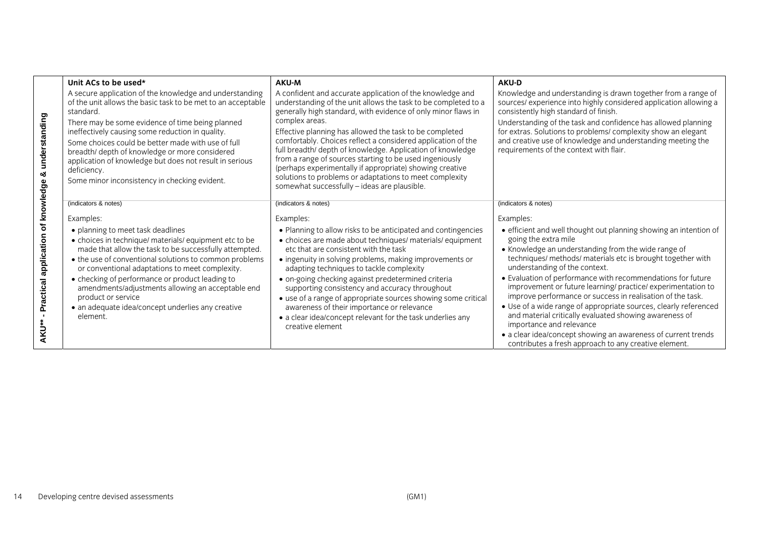|                                                  | Unit ACs to be used*                                                                                                                                                                                                                                                                                                                                                                                                                                                            | AKU-M                                                                                                                                                                                                                                                                                                                                                                                                                                                                                                                                                                                                                                     | <b>AKU-D</b>                                                                                                                                                                                                                                                                                                                                                                                                                                                                                                                                                                                                                                                                                                                      |
|--------------------------------------------------|---------------------------------------------------------------------------------------------------------------------------------------------------------------------------------------------------------------------------------------------------------------------------------------------------------------------------------------------------------------------------------------------------------------------------------------------------------------------------------|-------------------------------------------------------------------------------------------------------------------------------------------------------------------------------------------------------------------------------------------------------------------------------------------------------------------------------------------------------------------------------------------------------------------------------------------------------------------------------------------------------------------------------------------------------------------------------------------------------------------------------------------|-----------------------------------------------------------------------------------------------------------------------------------------------------------------------------------------------------------------------------------------------------------------------------------------------------------------------------------------------------------------------------------------------------------------------------------------------------------------------------------------------------------------------------------------------------------------------------------------------------------------------------------------------------------------------------------------------------------------------------------|
| & understanding                                  | A secure application of the knowledge and understanding<br>of the unit allows the basic task to be met to an acceptable<br>standard.<br>There may be some evidence of time being planned<br>ineffectively causing some reduction in quality.<br>Some choices could be better made with use of full<br>breadth/ depth of knowledge or more considered<br>application of knowledge but does not result in serious<br>deficiency.<br>Some minor inconsistency in checking evident. | A confident and accurate application of the knowledge and<br>understanding of the unit allows the task to be completed to a<br>generally high standard, with evidence of only minor flaws in<br>complex areas.<br>Effective planning has allowed the task to be completed<br>comfortably. Choices reflect a considered application of the<br>full breadth/ depth of knowledge. Application of knowledge<br>from a range of sources starting to be used ingeniously<br>(perhaps experimentally if appropriate) showing creative<br>solutions to problems or adaptations to meet complexity<br>somewhat successfully – ideas are plausible. | Knowledge and understanding is drawn together from a range of<br>sources/ experience into highly considered application allowing a<br>consistently high standard of finish.<br>Understanding of the task and confidence has allowed planning<br>for extras. Solutions to problems/complexity show an elegant<br>and creative use of knowledge and understanding meeting the<br>requirements of the context with flair.                                                                                                                                                                                                                                                                                                            |
|                                                  | (indicators & notes)                                                                                                                                                                                                                                                                                                                                                                                                                                                            | (indicators & notes)                                                                                                                                                                                                                                                                                                                                                                                                                                                                                                                                                                                                                      | (indicators & notes)                                                                                                                                                                                                                                                                                                                                                                                                                                                                                                                                                                                                                                                                                                              |
|                                                  | Examples:                                                                                                                                                                                                                                                                                                                                                                                                                                                                       | Examples:                                                                                                                                                                                                                                                                                                                                                                                                                                                                                                                                                                                                                                 | Examples:                                                                                                                                                                                                                                                                                                                                                                                                                                                                                                                                                                                                                                                                                                                         |
| Practical application of knowledge<br><b>AKU</b> | • planning to meet task deadlines<br>• choices in technique/ materials/ equipment etc to be<br>made that allow the task to be successfully attempted.<br>• the use of conventional solutions to common problems<br>or conventional adaptations to meet complexity.<br>• checking of performance or product leading to<br>amendments/adjustments allowing an acceptable end<br>product or service<br>• an adequate idea/concept underlies any creative<br>element.               | • Planning to allow risks to be anticipated and contingencies<br>• choices are made about techniques/ materials/ equipment<br>etc that are consistent with the task<br>• ingenuity in solving problems, making improvements or<br>adapting techniques to tackle complexity<br>· on-going checking against predetermined criteria<br>supporting consistency and accuracy throughout<br>• use of a range of appropriate sources showing some critical<br>awareness of their importance or relevance<br>• a clear idea/concept relevant for the task underlies any<br>creative element                                                       | • efficient and well thought out planning showing an intention of<br>going the extra mile<br>• Knowledge an understanding from the wide range of<br>techniques/ methods/ materials etc is brought together with<br>understanding of the context.<br>• Evaluation of performance with recommendations for future<br>improvement or future learning/ practice/ experimentation to<br>improve performance or success in realisation of the task.<br>• Use of a wide range of appropriate sources, clearly referenced<br>and material critically evaluated showing awareness of<br>importance and relevance<br>• a clear idea/concept showing an awareness of current trends<br>contributes a fresh approach to any creative element. |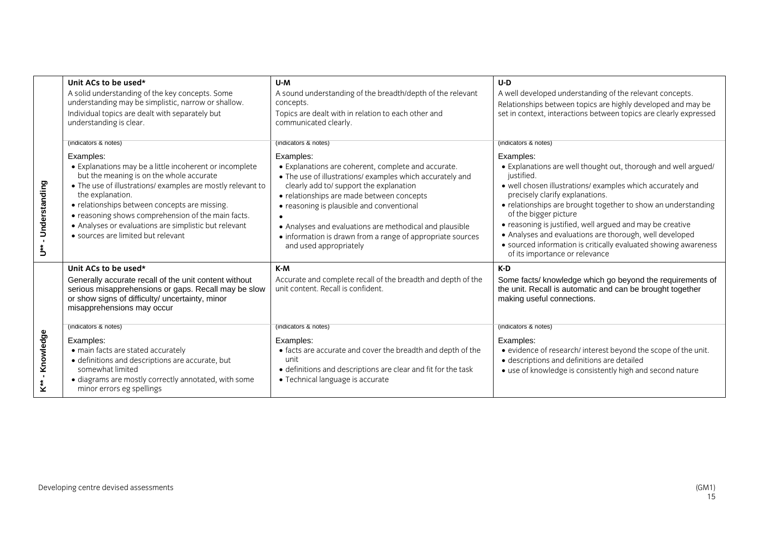|                       | Unit ACs to be used*<br>A solid understanding of the key concepts. Some<br>understanding may be simplistic, narrow or shallow.<br>Individual topics are dealt with separately but<br>understanding is clear.                                                                                                                                                                                              | U-M<br>A sound understanding of the breadth/depth of the relevant<br>concepts.<br>Topics are dealt with in relation to each other and<br>communicated clearly.                                                                                                                                                                                                                                                        | $U-D$<br>A well developed understanding of the relevant concepts.<br>Relationships between topics are highly developed and may be<br>set in context, interactions between topics are clearly expressed                                                                                                                                                                                                                                                                                                            |
|-----------------------|-----------------------------------------------------------------------------------------------------------------------------------------------------------------------------------------------------------------------------------------------------------------------------------------------------------------------------------------------------------------------------------------------------------|-----------------------------------------------------------------------------------------------------------------------------------------------------------------------------------------------------------------------------------------------------------------------------------------------------------------------------------------------------------------------------------------------------------------------|-------------------------------------------------------------------------------------------------------------------------------------------------------------------------------------------------------------------------------------------------------------------------------------------------------------------------------------------------------------------------------------------------------------------------------------------------------------------------------------------------------------------|
|                       | (indicators & notes)                                                                                                                                                                                                                                                                                                                                                                                      | (indicators & notes)                                                                                                                                                                                                                                                                                                                                                                                                  | (indicators & notes)                                                                                                                                                                                                                                                                                                                                                                                                                                                                                              |
| - Understanding<br>ڐؙ | Examples:<br>• Explanations may be a little incoherent or incomplete<br>but the meaning is on the whole accurate<br>• The use of illustrations/ examples are mostly relevant to<br>the explanation.<br>• relationships between concepts are missing.<br>• reasoning shows comprehension of the main facts.<br>• Analyses or evaluations are simplistic but relevant<br>• sources are limited but relevant | Examples:<br>• Explanations are coherent, complete and accurate.<br>• The use of illustrations/ examples which accurately and<br>clearly add to/ support the explanation<br>• relationships are made between concepts<br>• reasoning is plausible and conventional<br>• Analyses and evaluations are methodical and plausible<br>• information is drawn from a range of appropriate sources<br>and used appropriately | Examples:<br>• Explanations are well thought out, thorough and well argued/<br>justified.<br>• well chosen illustrations/ examples which accurately and<br>precisely clarify explanations.<br>• relationships are brought together to show an understanding<br>of the bigger picture<br>• reasoning is justified, well argued and may be creative<br>• Analyses and evaluations are thorough, well developed<br>• sourced information is critically evaluated showing awareness<br>of its importance or relevance |
|                       | Unit ACs to be used*<br>Generally accurate recall of the unit content without<br>serious misapprehensions or gaps. Recall may be slow<br>or show signs of difficulty/ uncertainty, minor<br>misapprehensions may occur                                                                                                                                                                                    | K-M<br>Accurate and complete recall of the breadth and depth of the<br>unit content. Recall is confident.                                                                                                                                                                                                                                                                                                             | K-D<br>Some facts/ knowledge which go beyond the requirements of<br>the unit. Recall is automatic and can be brought together<br>making useful connections.                                                                                                                                                                                                                                                                                                                                                       |
| - Knowledge<br>k**    | (indicators & notes)<br>Examples:<br>• main facts are stated accurately<br>· definitions and descriptions are accurate, but<br>somewhat limited<br>· diagrams are mostly correctly annotated, with some<br>minor errors eg spellings                                                                                                                                                                      | (indicators & notes)<br>Examples:<br>• facts are accurate and cover the breadth and depth of the<br>unit<br>• definitions and descriptions are clear and fit for the task<br>• Technical language is accurate                                                                                                                                                                                                         | (indicators & notes)<br>Examples:<br>• evidence of research/ interest beyond the scope of the unit.<br>· descriptions and definitions are detailed<br>• use of knowledge is consistently high and second nature                                                                                                                                                                                                                                                                                                   |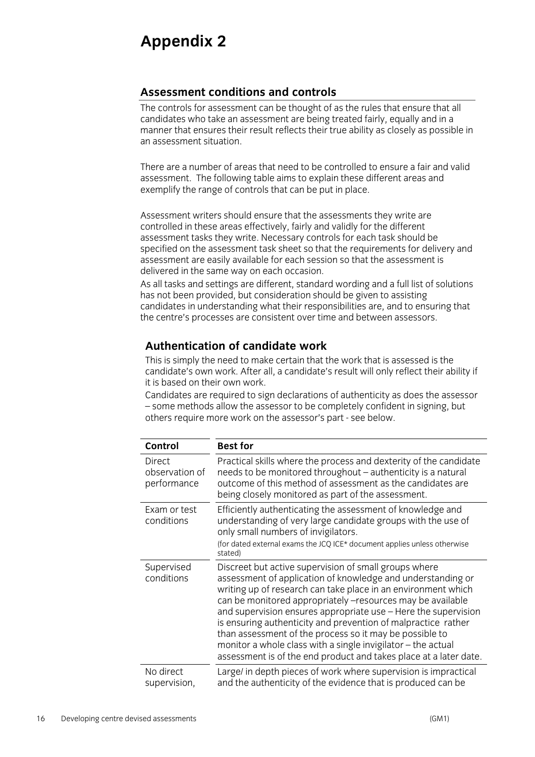## **Appendix 2**

## **Assessment conditions and controls**

The controls for assessment can be thought of as the rules that ensure that all candidates who take an assessment are being treated fairly, equally and in a manner that ensures their result reflects their true ability as closely as possible in an assessment situation.

There are a number of areas that need to be controlled to ensure a fair and valid assessment. The following table aims to explain these different areas and exemplify the range of controls that can be put in place.

Assessment writers should ensure that the assessments they write are controlled in these areas effectively, fairly and validly for the different assessment tasks they write. Necessary controls for each task should be specified on the assessment task sheet so that the requirements for delivery and assessment are easily available for each session so that the assessment is delivered in the same way on each occasion.

As all tasks and settings are different, standard wording and a full list of solutions has not been provided, but consideration should be given to assisting candidates in understanding what their responsibilities are, and to ensuring that the centre's processes are consistent over time and between assessors.

## **Authentication of candidate work**

This is simply the need to make certain that the work that is assessed is the candidate's own work. After all, a candidate's result will only reflect their ability if it is based on their own work.

Candidates are required to sign declarations of authenticity as does the assessor – some methods allow the assessor to be completely confident in signing, but others require more work on the assessor's part - see below.

| Control                                        | <b>Best for</b>                                                                                                                                                                                                                                                                                                                                                                                                                                                                                                                                                                        |
|------------------------------------------------|----------------------------------------------------------------------------------------------------------------------------------------------------------------------------------------------------------------------------------------------------------------------------------------------------------------------------------------------------------------------------------------------------------------------------------------------------------------------------------------------------------------------------------------------------------------------------------------|
| <b>Direct</b><br>observation of<br>performance | Practical skills where the process and dexterity of the candidate<br>needs to be monitored throughout – authenticity is a natural<br>outcome of this method of assessment as the candidates are<br>being closely monitored as part of the assessment.                                                                                                                                                                                                                                                                                                                                  |
| Exam or test<br>conditions                     | Efficiently authenticating the assessment of knowledge and<br>understanding of very large candidate groups with the use of<br>only small numbers of invigilators.<br>(for dated external exams the JCQ ICE* document applies unless otherwise<br>stated)                                                                                                                                                                                                                                                                                                                               |
| Supervised<br>conditions                       | Discreet but active supervision of small groups where<br>assessment of application of knowledge and understanding or<br>writing up of research can take place in an environment which<br>can be monitored appropriately -resources may be available<br>and supervision ensures appropriate use - Here the supervision<br>is ensuring authenticity and prevention of malpractice rather<br>than assessment of the process so it may be possible to<br>monitor a whole class with a single invigilator - the actual<br>assessment is of the end product and takes place at a later date. |
| No direct<br>supervision,                      | Large/ in depth pieces of work where supervision is impractical<br>and the authenticity of the evidence that is produced can be                                                                                                                                                                                                                                                                                                                                                                                                                                                        |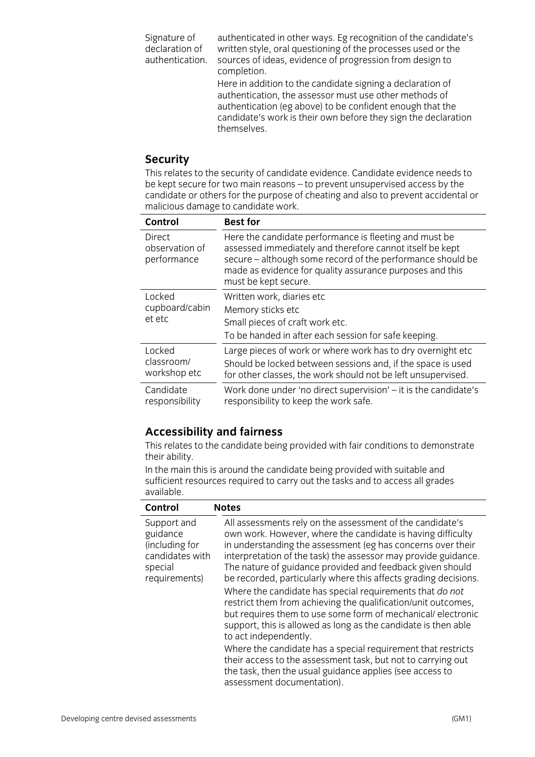Signature of declaration of authentication. authenticated in other ways. Eg recognition of the candidate's written style, oral questioning of the processes used or the sources of ideas, evidence of progression from design to completion. Here in addition to the candidate signing a declaration of authentication, the assessor must use other methods of

authentication (eg above) to be confident enough that the candidate's work is their own before they sign the declaration themselves.

### **Security**

This relates to the security of candidate evidence. Candidate evidence needs to be kept secure for two main reasons – to prevent unsupervised access by the candidate or others for the purpose of cheating and also to prevent accidental or malicious damage to candidate work.

| Control                                        | <b>Best for</b>                                                                                                                                                                                                                                                      |
|------------------------------------------------|----------------------------------------------------------------------------------------------------------------------------------------------------------------------------------------------------------------------------------------------------------------------|
| <b>Direct</b><br>observation of<br>performance | Here the candidate performance is fleeting and must be<br>assessed immediately and therefore cannot itself be kept<br>secure - although some record of the performance should be<br>made as evidence for quality assurance purposes and this<br>must be kept secure. |
| Locked<br>cupboard/cabin<br>et etc             | Written work, diaries etc<br>Memory sticks etc<br>Small pieces of craft work etc.<br>To be handed in after each session for safe keeping.                                                                                                                            |
| Locked<br>classroom/<br>workshop etc           | Large pieces of work or where work has to dry overnight etc<br>Should be locked between sessions and, if the space is used<br>for other classes, the work should not be left unsupervised.                                                                           |
| Candidate<br>responsibility                    | Work done under 'no direct supervision' - it is the candidate's<br>responsibility to keep the work safe.                                                                                                                                                             |

## **Accessibility and fairness**

This relates to the candidate being provided with fair conditions to demonstrate their ability.

In the main this is around the candidate being provided with suitable and sufficient resources required to carry out the tasks and to access all grades available.

| Control                                                                                  | <b>Notes</b>                                                                                                                                                                                                                                                                                                                                                                              |
|------------------------------------------------------------------------------------------|-------------------------------------------------------------------------------------------------------------------------------------------------------------------------------------------------------------------------------------------------------------------------------------------------------------------------------------------------------------------------------------------|
| Support and<br>guidance<br>(including for<br>candidates with<br>special<br>requirements) | All assessments rely on the assessment of the candidate's<br>own work. However, where the candidate is having difficulty<br>in understanding the assessment (eg has concerns over their<br>interpretation of the task) the assessor may provide guidance.<br>The nature of guidance provided and feedback given should<br>be recorded, particularly where this affects grading decisions. |
|                                                                                          | Where the candidate has special requirements that do not<br>restrict them from achieving the qualification/unit outcomes,<br>but requires them to use some form of mechanical/electronic<br>support, this is allowed as long as the candidate is then able<br>to act independently.                                                                                                       |
|                                                                                          | Where the candidate has a special requirement that restricts<br>their access to the assessment task, but not to carrying out<br>the task, then the usual guidance applies (see access to<br>assessment documentation).                                                                                                                                                                    |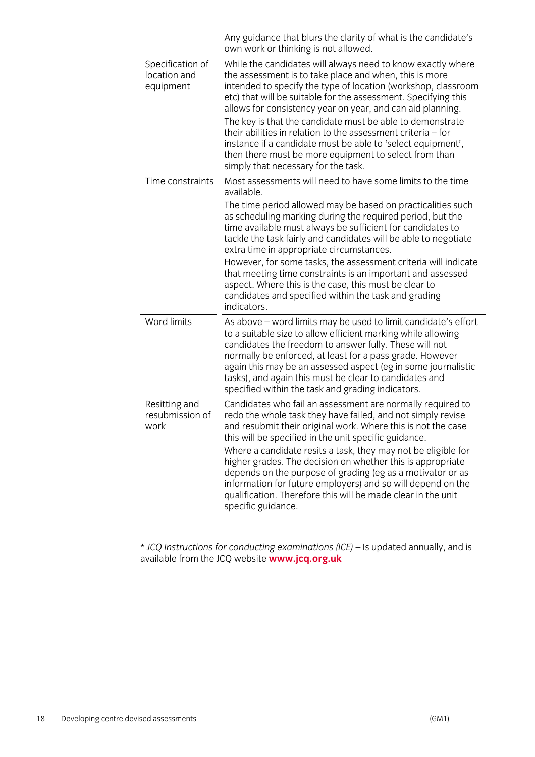|                                               | Any guidance that blurs the clarity of what is the candidate's<br>own work or thinking is not allowed.                                                                                                                                                                                                                                                                                                                                                                                                                                                                                                               |
|-----------------------------------------------|----------------------------------------------------------------------------------------------------------------------------------------------------------------------------------------------------------------------------------------------------------------------------------------------------------------------------------------------------------------------------------------------------------------------------------------------------------------------------------------------------------------------------------------------------------------------------------------------------------------------|
| Specification of<br>location and<br>equipment | While the candidates will always need to know exactly where<br>the assessment is to take place and when, this is more<br>intended to specify the type of location (workshop, classroom<br>etc) that will be suitable for the assessment. Specifying this<br>allows for consistency year on year, and can aid planning.<br>The key is that the candidate must be able to demonstrate<br>their abilities in relation to the assessment criteria $-$ for<br>instance if a candidate must be able to 'select equipment',<br>then there must be more equipment to select from than<br>simply that necessary for the task. |
| Time constraints                              | Most assessments will need to have some limits to the time<br>available.                                                                                                                                                                                                                                                                                                                                                                                                                                                                                                                                             |
|                                               | The time period allowed may be based on practicalities such<br>as scheduling marking during the required period, but the<br>time available must always be sufficient for candidates to<br>tackle the task fairly and candidates will be able to negotiate<br>extra time in appropriate circumstances.                                                                                                                                                                                                                                                                                                                |
|                                               | However, for some tasks, the assessment criteria will indicate<br>that meeting time constraints is an important and assessed<br>aspect. Where this is the case, this must be clear to<br>candidates and specified within the task and grading<br>indicators.                                                                                                                                                                                                                                                                                                                                                         |
| Word limits                                   | As above – word limits may be used to limit candidate's effort<br>to a suitable size to allow efficient marking while allowing<br>candidates the freedom to answer fully. These will not<br>normally be enforced, at least for a pass grade. However<br>again this may be an assessed aspect (eg in some journalistic<br>tasks), and again this must be clear to candidates and<br>specified within the task and grading indicators.                                                                                                                                                                                 |
| Resitting and<br>resubmission of<br>work      | Candidates who fail an assessment are normally required to<br>redo the whole task they have failed, and not simply revise<br>and resubmit their original work. Where this is not the case<br>this will be specified in the unit specific guidance.<br>Where a candidate resits a task, they may not be eligible for<br>higher grades. The decision on whether this is appropriate<br>depends on the purpose of grading (eg as a motivator or as<br>information for future employers) and so will depend on the<br>qualification. Therefore this will be made clear in the unit<br>specific guidance.                 |

\* *JCQ Instructions for conducting examinations (ICE)* – Is updated annually, and is available from the JCQ website **www.jcq.org.uk**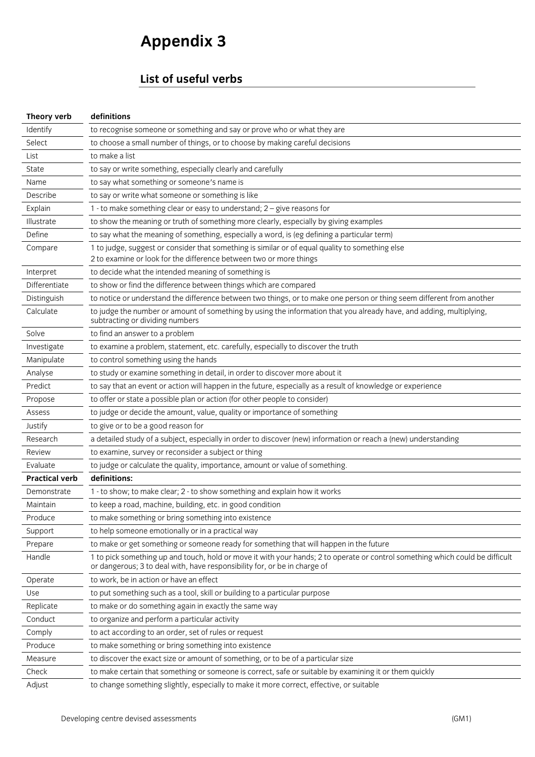# **Appendix 3**

## **List of useful verbs**

| Theory verb           | definitions                                                                                                                                                                                                |
|-----------------------|------------------------------------------------------------------------------------------------------------------------------------------------------------------------------------------------------------|
| Identify              | to recognise someone or something and say or prove who or what they are                                                                                                                                    |
| Select                | to choose a small number of things, or to choose by making careful decisions                                                                                                                               |
| List                  | to make a list                                                                                                                                                                                             |
| State                 | to say or write something, especially clearly and carefully                                                                                                                                                |
| Name                  | to say what something or someone's name is                                                                                                                                                                 |
| Describe              | to say or write what someone or something is like                                                                                                                                                          |
| Explain               | 1 - to make something clear or easy to understand; 2 - give reasons for                                                                                                                                    |
| Illustrate            | to show the meaning or truth of something more clearly, especially by giving examples                                                                                                                      |
| Define                | to say what the meaning of something, especially a word, is (eg defining a particular term)                                                                                                                |
| Compare               | 1 to judge, suggest or consider that something is similar or of equal quality to something else<br>2 to examine or look for the difference between two or more things                                      |
| Interpret             | to decide what the intended meaning of something is                                                                                                                                                        |
| Differentiate         | to show or find the difference between things which are compared                                                                                                                                           |
| Distinguish           | to notice or understand the difference between two things, or to make one person or thing seem different from another                                                                                      |
| Calculate             | to judge the number or amount of something by using the information that you already have, and adding, multiplying,<br>subtracting or dividing numbers                                                     |
| Solve                 | to find an answer to a problem                                                                                                                                                                             |
| Investigate           | to examine a problem, statement, etc. carefully, especially to discover the truth                                                                                                                          |
| Manipulate            | to control something using the hands                                                                                                                                                                       |
| Analyse               | to study or examine something in detail, in order to discover more about it                                                                                                                                |
| Predict               | to say that an event or action will happen in the future, especially as a result of knowledge or experience                                                                                                |
| Propose               | to offer or state a possible plan or action (for other people to consider)                                                                                                                                 |
| Assess                | to judge or decide the amount, value, quality or importance of something                                                                                                                                   |
| Justify               | to give or to be a good reason for                                                                                                                                                                         |
| Research              | a detailed study of a subject, especially in order to discover (new) information or reach a (new) understanding                                                                                            |
| Review                | to examine, survey or reconsider a subject or thing                                                                                                                                                        |
| Evaluate              | to judge or calculate the quality, importance, amount or value of something.                                                                                                                               |
| <b>Practical verb</b> | definitions:                                                                                                                                                                                               |
| Demonstrate           | 1 - to show; to make clear; 2 - to show something and explain how it works                                                                                                                                 |
| Maintain              | to keep a road, machine, building, etc. in good condition                                                                                                                                                  |
| Produce               | to make something or bring something into existence                                                                                                                                                        |
| Support               | to help someone emotionally or in a practical way                                                                                                                                                          |
| Prepare               | to make or get something or someone ready for something that will happen in the future                                                                                                                     |
| Handle                | 1 to pick something up and touch, hold or move it with your hands; 2 to operate or control something which could be difficult<br>or dangerous; 3 to deal with, have responsibility for, or be in charge of |
| Operate               | to work, be in action or have an effect                                                                                                                                                                    |
| Use                   | to put something such as a tool, skill or building to a particular purpose                                                                                                                                 |
| Replicate             | to make or do something again in exactly the same way                                                                                                                                                      |
| Conduct               | to organize and perform a particular activity                                                                                                                                                              |
| Comply                | to act according to an order, set of rules or request                                                                                                                                                      |
| Produce               | to make something or bring something into existence                                                                                                                                                        |
| Measure               | to discover the exact size or amount of something, or to be of a particular size                                                                                                                           |
| Check                 | to make certain that something or someone is correct, safe or suitable by examining it or them quickly                                                                                                     |
| Adjust                | to change something slightly, especially to make it more correct, effective, or suitable                                                                                                                   |